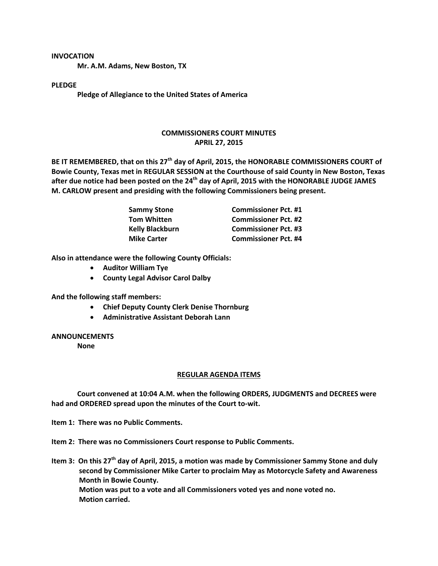### **INVOCATION**

**Mr. A.M. Adams, New Boston, TX**

### **PLEDGE**

**Pledge of Allegiance to the United States of America**

# **COMMISSIONERS COURT MINUTES APRIL 27, 2015**

**BE IT REMEMBERED, that on this 27th day of April, 2015, the HONORABLE COMMISSIONERS COURT of Bowie County, Texas met in REGULAR SESSION at the Courthouse of said County in New Boston, Texas after due notice had been posted on the 24th day of April, 2015 with the HONORABLE JUDGE JAMES M. CARLOW present and presiding with the following Commissioners being present.**

| <b>Sammy Stone</b>     | <b>Commissioner Pct. #1</b> |
|------------------------|-----------------------------|
| <b>Tom Whitten</b>     | <b>Commissioner Pct. #2</b> |
| <b>Kelly Blackburn</b> | <b>Commissioner Pct. #3</b> |
| <b>Mike Carter</b>     | <b>Commissioner Pct. #4</b> |

**Also in attendance were the following County Officials:**

- **Auditor William Tye**
- **County Legal Advisor Carol Dalby**

**And the following staff members:**

- **Chief Deputy County Clerk Denise Thornburg**
- **Administrative Assistant Deborah Lann**

## **ANNOUNCEMENTS**

**None**

#### **REGULAR AGENDA ITEMS**

**Court convened at 10:04 A.M. when the following ORDERS, JUDGMENTS and DECREES were had and ORDERED spread upon the minutes of the Court to-wit.**

**Item 1: There was no Public Comments.**

**Item 2: There was no Commissioners Court response to Public Comments.**

**Item 3: On this 27th day of April, 2015, a motion was made by Commissioner Sammy Stone and duly second by Commissioner Mike Carter to proclaim May as Motorcycle Safety and Awareness Month in Bowie County. Motion was put to a vote and all Commissioners voted yes and none voted no. Motion carried.**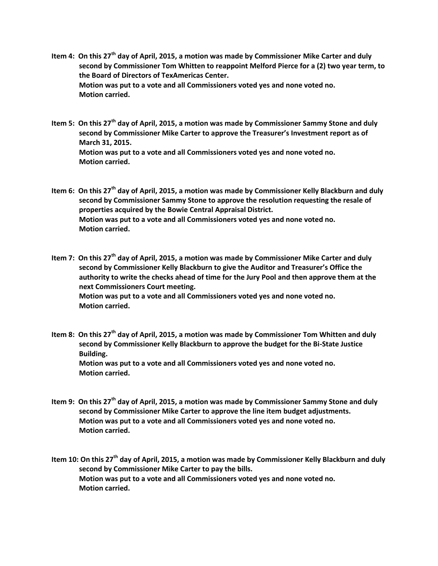- **Item 4: On this 27th day of April, 2015, a motion was made by Commissioner Mike Carter and duly second by Commissioner Tom Whitten to reappoint Melford Pierce for a (2) two year term, to the Board of Directors of TexAmericas Center. Motion was put to a vote and all Commissioners voted yes and none voted no. Motion carried.**
- **Item 5: On this 27th day of April, 2015, a motion was made by Commissioner Sammy Stone and duly second by Commissioner Mike Carter to approve the Treasurer's Investment report as of March 31, 2015. Motion was put to a vote and all Commissioners voted yes and none voted no. Motion carried.**
- **Item 6: On this 27th day of April, 2015, a motion was made by Commissioner Kelly Blackburn and duly second by Commissioner Sammy Stone to approve the resolution requesting the resale of properties acquired by the Bowie Central Appraisal District. Motion was put to a vote and all Commissioners voted yes and none voted no. Motion carried.**
- **Item 7: On this 27th day of April, 2015, a motion was made by Commissioner Mike Carter and duly second by Commissioner Kelly Blackburn to give the Auditor and Treasurer's Office the authority to write the checks ahead of time for the Jury Pool and then approve them at the next Commissioners Court meeting. Motion was put to a vote and all Commissioners voted yes and none voted no. Motion carried.**
- **Item 8: On this 27th day of April, 2015, a motion was made by Commissioner Tom Whitten and duly second by Commissioner Kelly Blackburn to approve the budget for the Bi-State Justice Building. Motion was put to a vote and all Commissioners voted yes and none voted no. Motion carried.**
- **Item 9: On this 27th day of April, 2015, a motion was made by Commissioner Sammy Stone and duly second by Commissioner Mike Carter to approve the line item budget adjustments. Motion was put to a vote and all Commissioners voted yes and none voted no. Motion carried.**

**Item 10: On this 27th day of April, 2015, a motion was made by Commissioner Kelly Blackburn and duly second by Commissioner Mike Carter to pay the bills. Motion was put to a vote and all Commissioners voted yes and none voted no. Motion carried.**